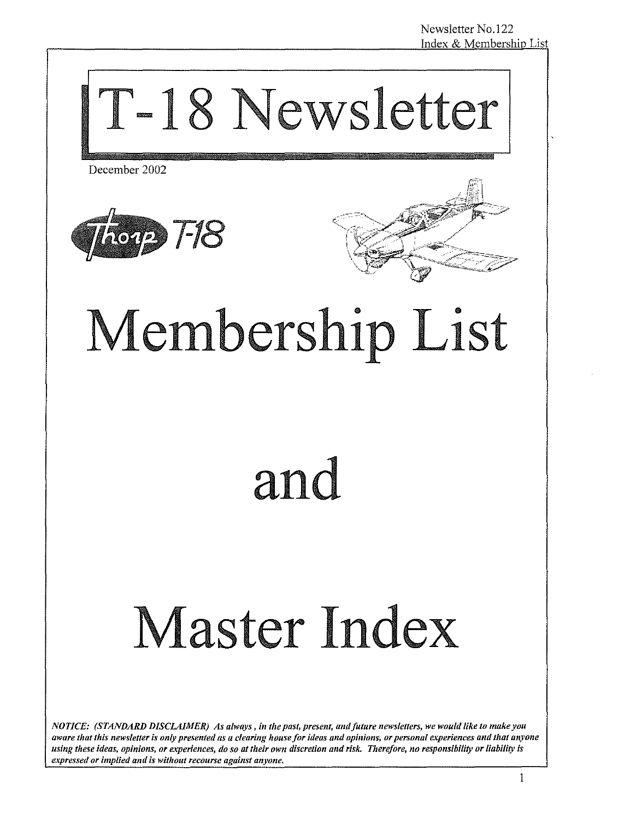

# Membership List

## and

## Master Index

*NOTICE: (STANDARD DISCLAIMER) As always, in the past, present, aud/ulure news/etters, we would like to make you*  aware that this newsletter is only presented as a clearing house for ideas and opinions, or personal experiences and that anyone *using these ideas, opinions, or experiences, do so at their own discretion and risk. There/ore, no responsibility or liability is expressed or implied and is without recourse against anyone.*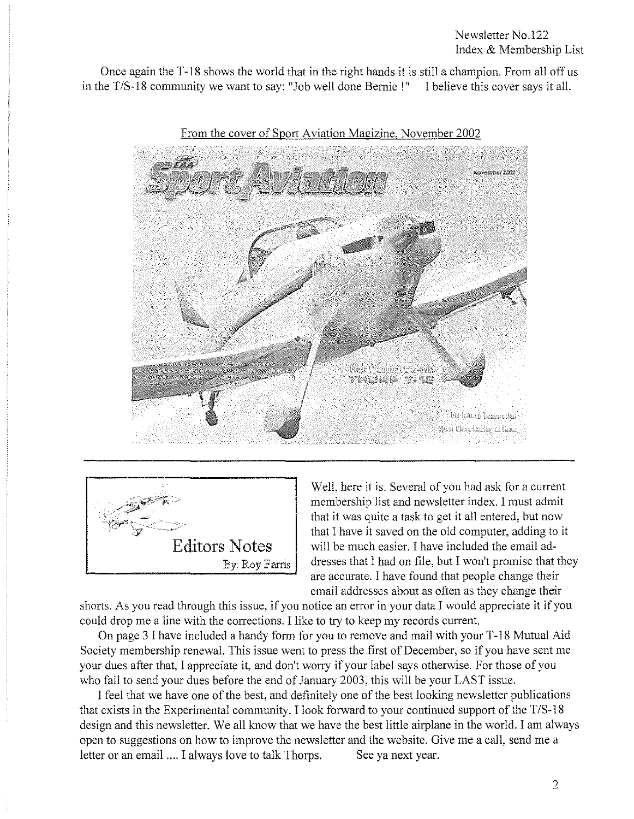Once again the T-18 shows the world that in the right hands it is still a champion. From all off us in the T/S-18 community we want to say: "Job well done Bernie!" I believe this cover says it all.



From the cover of Sport Aviation Magizine. November 2002



Well, here it is. Several of you had ask for a current membership list and newsletter index. I must admit that it was quite a task to get it all entered, but now that I have it saved on the old computer, adding to it will be much easier. I have included the email ad-By: Roy Farris  $\vert$  dresses that I had on file, but I won't promise that they are accurate. I have found that people change their email addresses about as often as they change their

shorts. As you read through this issue, if you notice an error in your data I would appreciate it if you could drop me a line with the corrections. I like to try to keep my records current.

On page 3 I have included a handy form for you to remove and mail with your T -18 Mutual Aid Society membership renewal. This issue went to press the first of December, so if you have sent me your dues after that, I appreciate it, and don't worry if your label says otherwise. For those of you who fail to send your dues before the end of January 2003, this will be your LAST issue.

r feel that we have one of the best, and definitely one of the best looking newsletter publications that exists in the Experimental community. I look forward to your continued support of the  $T/S-18$ design and this newsletter. We all know that we have the best little airplane in the world. I am always open to suggestions on how to improve the newsletter and the website. Give me a call, send me a letter or an email .... I always love to talk Thorps. See ya next year.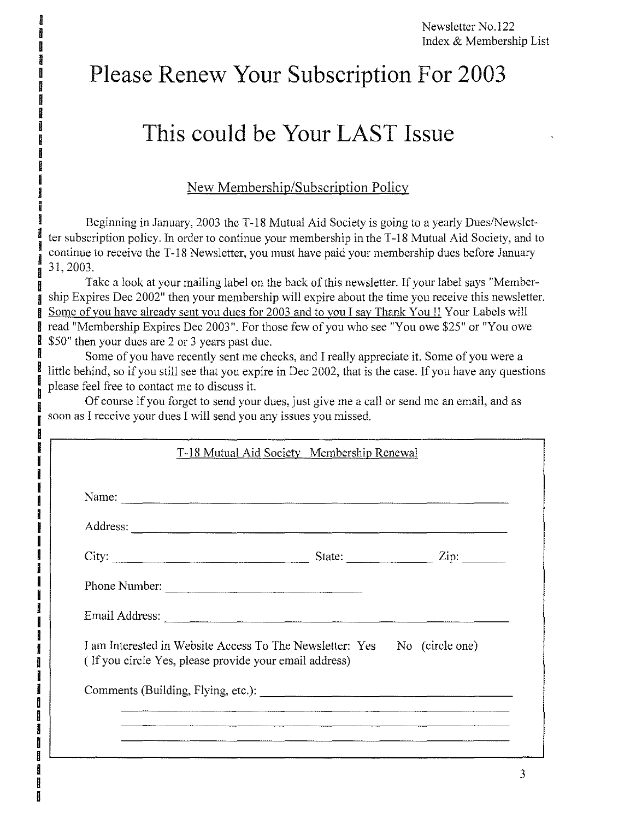### **Please Renew Your Subscription For 2003**

### This could be Your LAST Issue

New Membership/Subscription Policy

Beginning in January, 2003 the T-18 Mutual Aid Society is going to a yearly Dues/Newsletter subscription policy. In order to continue your membership in the T -18 Mutual Aid Society, and to continue to receive the T-18 Newsletter, you must have paid your membership dues before January 31,2003.

Take a look at your mailing label on the back of this newsletter. If your label says "Membership Expires Dec 2002" then your membership will expire about the time you receive this newsletter. Some of you have already sent you dues for 2003 and to you I say Thank You!! Your Labels will read "Membership Expires Dec 2003". For those few of you who see "You owe \$25" or "You owe \$50" then your dues are 2 or 3 years past due.

Some of you have recently sent me checks, and I really appreciate it. Some of you were a little behind, so if you still see that you expire in Dec 2002, that is the case. If you have any questions please feel free to contact me to discuss it.

Of course if you forget to send your dues, just give me a call or send me an email, and as soon as I receive your dues I will send you any issues you missed.

|                                                        |                                                                          | City: $\qquad \qquad \qquad$ State: $\qquad \qquad$ Zip: |
|--------------------------------------------------------|--------------------------------------------------------------------------|----------------------------------------------------------|
| Phone Number:                                          |                                                                          |                                                          |
|                                                        |                                                                          |                                                          |
| (If you circle Yes, please provide your email address) | I am Interested in Website Access To The Newsletter: Yes No (circle one) |                                                          |
|                                                        |                                                                          |                                                          |

I l I

I H

Î I

I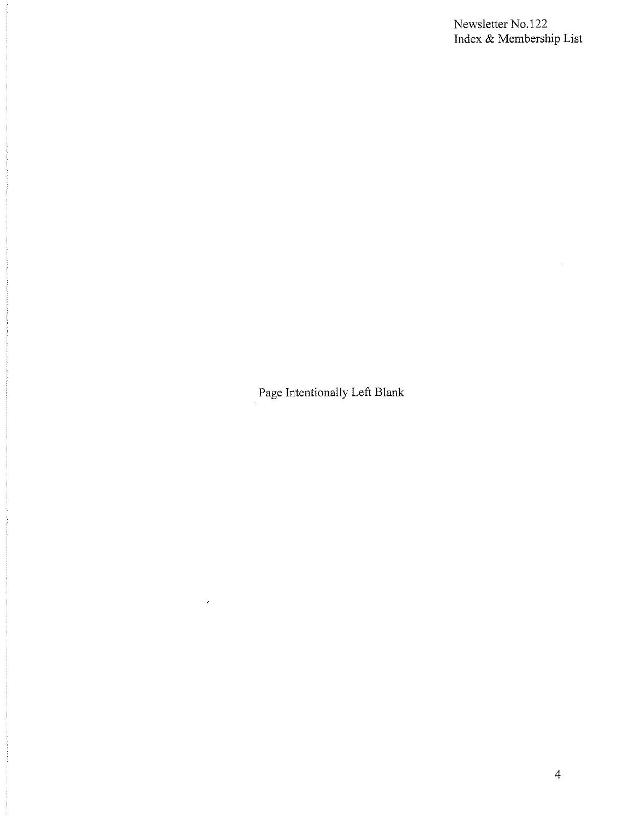Page Intentionally Left Blank

 $\hat{\mathcal{E}}$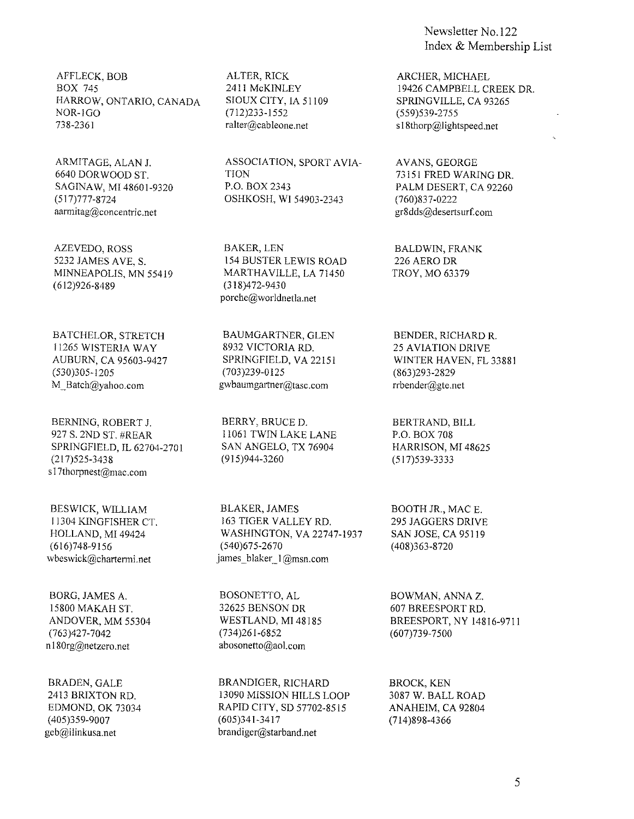AFFLECK. BOB BOX 745 HARROW, ONTARIO, CANADA NOR-l GO 738-2361

ARMITAGE, ALAN J, 6640 DORWOOD ST. SAGINAW, MI48601-9320 (517)777-8724 **aarmitag@concentric.net** 

AZEVEDO, ROSS 5232 JAMES AVE, S. MINNEAPOLIS, MN 55419 ( 612)926-8489

BATCHELOR, STRETCH 11265 WISTERJA WAY AUBURN, CA 95603-9427 (530)305-1205 M Batch@yahoo.com

BERNING, ROBERT J. 927 S. 2ND ST. #REAR SPRINGFIELD, IL 62704-2701 (217)525-3438 s 17thorpnest@mac.com

BESWICK, WILLIAM 11304 KINGFISHER CT. HOLLAND, MI 49424 (616)748-9156 wbeswick@chartermi.net

BORG, JAMES A. 15800 MAKAH ST. ANDOVER, MM 55304 (763)427-7042 n 180rg@netzero.net

BRADEN, GALE 2413 BRIXTON RD. EDMOND, OK 73034 (405)359-9007 geb@iIinkusa.net

ALTER, RICK 2411 McKINLEY SIOUX CITY, IA 51109 (712)233-1552 ralter@cableone.net

ASSOCIATION, SPORT AVIA-TION P.O. BOX 2343 OSHKOSH, WI 54903-2343

BAKER, LEN 154 BUSTER LEWIS ROAD MARTHAVILLE, LA 71450 (318)472-9430 porche@worldnetla.net

BAUMGARTNER, GLEN 8932 VICTORJA RD. SPRINGFIELD, VA 22151 (703)239-0125 gwbaumgartner@tasc.com

BERRY, BRUCE D. 11061 TWIN LAKE LANE SAN ANGELO, TX 76904 (915)944-3260

BLAKER, JAMES 163 TIGER VALLEY RD. WASHINGTON, VA 22747-1937 (540)675-2670 james blaker 1@msn.com

BOSONETTO,AL 32625 BENSON DR WESTLAND, MI 48185 (734)261-6852 abosonetto@aoLcom

BRANDIGER, RICHARD 13090 MISSION HILLS LOOP RAPID CITY, SD 57702-8515 (605)341-3417 brandiger@starband.net

ARCHER, MICHAEL 19426 CAMPBELL CREEK DR. SPRINGVILLE, CA 93265 (559)539-2755 s 18thorp@lightspeed.net

A VANS, GEORGE 73151 FRED WARJNG DR. PALM DESERT, CA 92260 (760)837-0222 gr8dds@desertsurf.com

BALDWIN, FRANK 226 AERO DR TROY, MO 63379

BENDER, RJCHARD R. 25 AVIATION DRIVE WINTER HAVEN, FL 33881 (863)293-2829 **rrbender@gte.net** 

BERTRAND, BILL P.O. BOX 708 HARRISON, MI 48625 (517)539-3333

BOOTH JR., MAC E. 295 JAGGERS DRJVE SAN JOSE, CA 95119 (408)363-8720

BOWMAN, ANNA Z. 607 BREESPORT RD. BREESPORT, NY 14816-9711 (607)739-7500

BROCK, KEN 3087 W. BALL ROAD ANAHEIM, CA 92804 (714)898-4366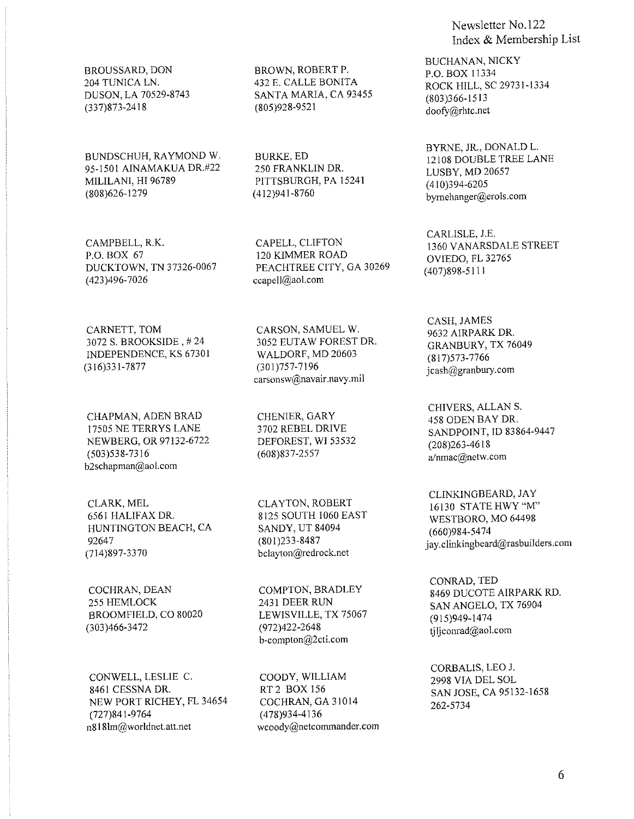BROUSSARD. DON 204 TUNICA LN. DUSON, LA 70529-8743 (337)873-2418

BUNDSCHUH, RAYMOND W. 95-1501 AINAMAKUA DR.#22 MILILANI, HI 96789 (808)626-1279

(805)928-9521

BROWN, ROBERT P. 432 E. CALLE BONITA SANTA MARIA, CA 93455

BURKE, ED 250 FRANKLIN DR. PITTSBURGH, PA 15241 (412)941-8760

CAMPBELL, R.K. P.O. BOX 67 DUCKTOWN, TN 37326-0067 (423)496-7026

CAPELL, CLIFTON 120 KIMMER ROAD PEACHTREE CITY, GA 30269 ccapelJ@aol.com

CARNETT, TOM 3072 S. BROOKSIDE, # 24 INDEPENDENCE, KS 6730 I (316)331-7877

CHAPMAN, ADEN BRAD 17505 NE TERRYS LANE NEWBERG, OR 97132-6722 (503)538-7316 b2schapman@aol.com

CLARK, MEL 6561 HALIFAX DR. HUNTINGTON BEACH, CA 92647 (714)897-3370

COCHRAN, DEAN 255 HEMLOCK BROOMFIELD, CO 80020 (303)466-3472

CONWELL, LESLIE C. 8461 CESSNA DR. NEW PORT RICHEY, FL 34654 (727)841-9764 n818lm@worldnet.att.net

CARSON, SAMUEL W. 3052 EUTAW FOREST DR. WALDORF, MD 20603 (301)757-7196 **carsonsw@navair.navy.mil** 

CHENIER, GARY 3702 REBEL DRIVE DEFOREST, WI 53532 (608)837-2557

CLAYTON, ROBERT 8125 SOUTH 1060 EAST SANDY, UT 84094 (801)233-8487 bclayton@redrock.net

COMPTON, BRADLEY 2431 DEER RUN LEWISVILLE, TX 75067 (972)422-2648 b-compton@2cti.com

COODY, WILLIAM RT 2 BOX 156 COCHRAN, GA 31014 (478)934-4136 wcoody@netcommander.com Newsletter No.122 Index & Membership List

BUCHANAN, NICKY P.O. BOX 11334 ROCK HILL, SC 29731-1334 (803)366-1513 doofY@rhtc.net

BYRNE, JR., DONALD L. 12108 DOUBLE TREE LANE LUSBY, MD 20657 (410)394-6205 byrnehanger@erols.com

CARLISLE, J.E. 1360 VANARSDALE STREET OVIEDO, FL 32765 (407)898-5 III

CASH, JAMES 9632 AIRPARK DR. GRANBURY, TX 76049 (817)573-7766 jcash@granbury.com

CHIVERS, ALLAN S. 458 ODEN BAY DR. SANDPOINT, ID 83864-9447 (208)263-46 I 8 a/nmac@netw.com

CLINKINGBEARD, JAY 16130 STATE HWY "M" WESTBORO, MO 64498 (660)984-5474 jay.clinkingbeard@rasbuilders.com

CONRAD, TED 8469 DUCOTE AIRPARK RD. SAN ANGELO, TX 76904 (915)949-1474 tjljconrad@aol.com

CORBALIS, LEO J. 2998 VIA DEL SOL SAN JOSE, CA 95132-1658 262-5734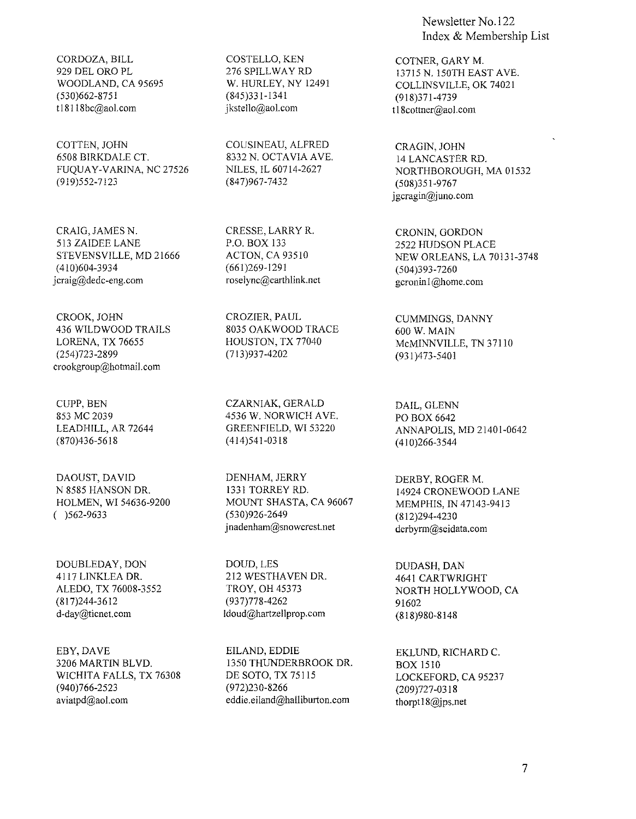CORDOZA. BILL 929 DEL ORO PL WOODLAND, CA 95695 (530)662-8751 tI8118bc@aol.com

COTTEN, JOHN 6508 BIRKDALE CT. FUQUAY-VARINA, NC 27526 (919)552-7123

CRAIG, JAMES N. 513 ZAIDEE LANE STEVENSVILLE, MD 21666 (410)604-3934 jcraig@dedc-eng.com

CROOK, JOHN 436 WILDWOOD TRAILS LORENA, TX 76655 (254)723-2899 crookgroup@hotmail.com

CUPP, BEN 853 MC 2039 LEADHILL, AR 72644 (870)436-5618

DAOUST, DAVID N 8585 HANSON DR. HOLMEN, WI 54636-9200  $( )562 - 9633$ 

DOUBLEDAY, DON 4117 LINKLEA DR. ALEDO, TX 76008-3552 (817)244-3612 d-day@ticnet.com

EBY, DAVE 3206 MARTIN BLVD. WICHITA FALLS, TX 76308 (940)766-2523 aviatpd@aol.com

COSTELLO, KEN 276 SPILLWAY RD W. HURLEY, NY 12491 (845)331-1341 jkstello@aol.com

COUSINEAU, ALFRED 8332 N. OCTAVIA AVE. NILES, IL 60714-2627 (847)967-7432

CRESSE, LARRY R. P.O. BOX 133 ACTON, CA 93510 (661)269-1291 roselync@earthlink.net

CROZIER, PAUL 8035 OAKWOOD TRACE HOUSTON, TX 77040 (713)937-4202

CZARNIAK, GERALD 4536 W. NORWICH AVE. GREENFIELD, WI 53220 (414)541-0318

DENHAM, JERRY 1331 TORREY RD. MOUNT SHASTA, CA 96067 (530)926-2649 jnadenham@snowcrest.net

DOUD, LES 212 WESTHAVEN DR. TROY, OH 45373 (937)778-4262 Idoud@hartzellprop.com

EILAND, EDDIE 1350 THUNDERBROOK DR. DE SOTO, TX 75115 (972)230-S266 eddie.eiland@halliburton.com

COTNER, GARY M. 13715 N. 150TH EAST AVE. COLLINSVILLE, OK 74021 (918)371-4739 t18cottner@aol.com

CRAGIN, JOHN 14 LANCASTER RD. NORTHBOROUGH, MA 01532 (508)351-9767 jgcragin@juno.com

CRONIN, GORDON 2522 HUDSON PLACE NEW ORLEANS, LA 70131-3748 (504)393-7260 gcroninl@home.com

CUMMINGS, DANNY 600W. MAIN McMINNVILLE, TN 37110 (931)473-5401

DAIL,GLENN POBOX 6642 ANNAPOLIS, MD 21401-0642 (410)266-3544

DERBY, ROGER M. 14924 CRONEWOOD LANE MEMPHIS, IN 47143-9413 (SI2)294-4230 derbyrm@seidata.com

DUDASH, DAN 4641 CARTWRIGHT NORTH HOLLYWOOD, CA 91602 (818)980-8148

EKLUND, RJCHARD C. BOX 1510 LOCKEFORD, CA 95237 (209)727-0318 thorptlS@jps.net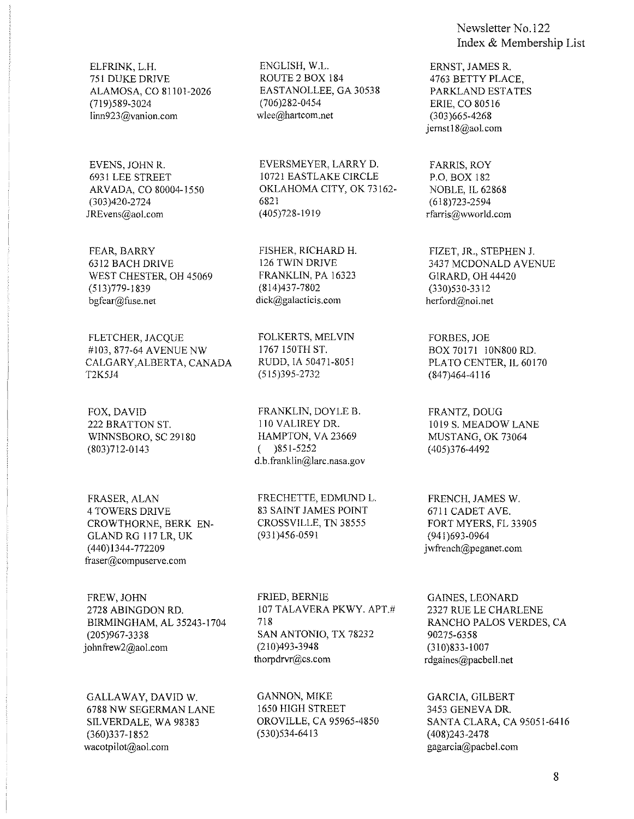ELFRINK. L.H. 751 DUKE DRIVE ALAMOSA, CO 81101-2026 (719)589-3024 Iinn923@vanion.com

EVENS, JOHN R. 6931 LEE STREET ARVADA, CO 80004-1550 (303)420-2724 JREvens@aol.com

FEAR, BARRY 6312 BACH DRIVE WEST CHESTER, OH 45069 (513)779-1839 bgfear@fuse.net

FLETCHER, JACQUE #103,877-64 AVENUE NW CALGARY,ALBERTA, CANADA T2K5J4

FOX, DAVID 222 BRATTON ST. WINNSBORO, SC 29180 (803)712-0143

FRASER, ALAN 4 TOWERS DRIVE CROWTHORNE, BERK EN-GLAND RG 117 LR, UK (440)1344-772209 **fraser@compuserve.com** 

FREW, JOHN 2728 ABINGDON RD. BIRMINGHAM, AL 35243-1704 (205)967-3338 johnfrew2@aol.com

GALLA WAY, DAVID W. 6788 NW SEGERMAN LANE SILVERDALE, WA 98383 (360)337-1852 wacotpilot@aol.com

ENGLISH, W.L. ROUTE 2 BOX 184 EASTANOLLEE, GA 30538 (706)282-0454 wlee@hartcom.net

EVERSMEYER, LARRY D. 10721 EASTLAKE CIRCLE OKLAHOMA CITY, OK 73162- 6821 (405)728-1919

FISHER, RICHARD H. 126 TWIN DRIVE FRANKLIN, PA 16323 (814)437-7802 dick@galacticis.com

FOLKERTS, MELVIN 1767 150TH ST. RUDD, IA 50471-8051 (515)395-2732

FRANKLIN, DOYLE B. 110 VALIREY DR. HAMPTON, VA 23669  $( )851-5252$ d.b.frankIin@larc.nasa.gov

FRECHETTE, EDMUND L. 83 SAINT JAMES POINT CROSSVILLE, TN 38555 (931)456-0591

FRIED, BERNIE 107 TALAVERA PKWY. APT.# 718 SAN ANTONIO, TX 78232 (210)493-3948 thorpdrvr@cs.com

GANNON, MIKE 1650 HIGH STREET OROVILLE, CA 95965-4850 (530)534-6413

Newsletter No.122 Index & Membership List

ERNST, JAMES R. 4763 BETTY PLACE, PARKLAND ESTATES ERIE, CO 80516 (303)665-4268 jemst 18@ao1.com

FARRIS, ROY P.O. BOX 182 NOBLE, IL 62868 (618)723-2594 **rfarris@wworld.com** 

FIZET, JR., STEPHEN J. 3437 MCDONALD A VENUE GIRARD, OH 44420 (330)530-3312 herford@noi.net

FORBES, JOE BOX 70171 10N800 RD. PLATO CENTER, IL 60170 (847)464-4116

FRANTZ, DOUG 1019 S. MEADOW LANE MUSTANG, OK 73064 (405)376-4492

FRENCH, JAMES W. 6711 CADET AVE. FORT MYERS, FL 33905 (941 )693-0964 jwfrench@peganet.com

GAINES, LEONARD 2327 RUE LE CHARLENE RANCHO PALOS VERDES, CA 90275-6358 (310)833-1007 rdgaines@pacbell.net

GARCIA, GILBERT 3453 GENEVA DR. SANTA CLARA, CA 95051-6416 (408)243-2478 gagarcia@pacbel.com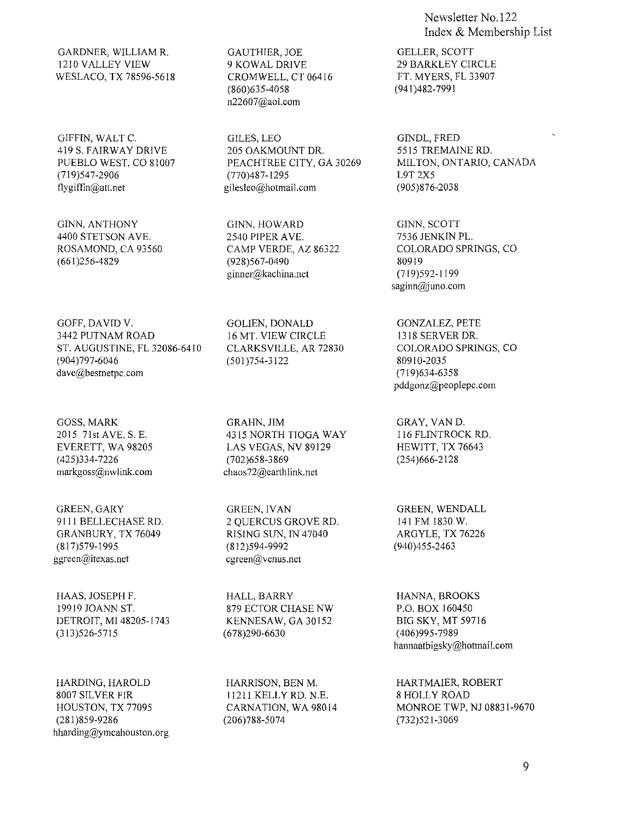GARDNER. WILLIAM R. 1210 VALLEY VIEW WESLACO, TX 78596-5618

GIFFIN, WALT C. 419 S. FAIRWAY DRIVE PUEBLO WEST, CO 81007 (719)547-2906 flygiffin@att.net

GINN, ANTHONY 4400 STETSON AVE. ROSAMOND, CA 93560 (661 )256-4829

GOFF, DAVID V. 3442 PUTNAM ROAD ST. AUGUSTINE, FL 32086-6410 (904)797-6046 dave@bestnetpc.com

GOSS,MARK 2015 71st AVE. S. E. EVERETT, WA 98205 (425)334-7226 **markgoss@nwlink.com** 

GREEN, GARY 9111 BELLECHASE RD. GRANBURY, TX 76049 (817)579-1995 **ggreen@itexas.net** 

HAAS, JOSEPH F. 19919 JOANN ST. DETROIT, MI 48205-1743 (313)526-5715

HARDING, HAROLD 8007 SILVER FIR HOUSTON, TX 77095 (281 )859-9286 hharding@ymcahouston.org GAUTHIER, JOE 9 KOWAL DRlVE CROMWELL, CT 06416 (860)635-4058 n22607@aoLcom

GILES, LEO 205 OAKMOUNT DR. PEACHTREE CITY, GA 30269 (770)487-1295 gilesleo@hotmail.com

GINN, HOWARD 2540 PIPER AVE. CAMP VERDE, AZ 86322 (928)567-0490 ginner@kachina.net

GOLIEN, DONALD 16 MT. VIEW CIRCLE CLARKSVILLE, AR 72830 (501)754-3122

GRAHN, JIM 4315 NORTH TIOGA WAY LAS VEGAS, NV 89129 (702)658-3869 chaos72@earthlink.net

GREEN, IVAN 2 QUERCUS GROVE RD. RISING SUN, IN 47040 (812)594-9992 **cgreen@venus.net** 

HALL, BARRY 879 ECTOR CHASE NW KENNESAW, GA 30152 (678)290-6630

HARRISON, BEN M. 11211 KELLY RD. N.£. CARNATION, WA 98014 (206)788-5074

GELLER, SCOTT 29 BARKLEY CIRCLE FT. MYERS, FL 33907 (941 )482-7991

GINDL,FRED 5515 TREMAINE RD. MILTON, ONTARIO, CANADA L9T 2X5 (905)876-2038

GINN, SCOTT 7536 JENKIN PL. COLORADO SPRINGS, CO 80919 (7 I 9)592-1199 saginn@juno.com

GONZALEZ, PETE 1318 SERVER DR. COLORADO SPRINGS, CO 80910-2035 (719)634-6358 pddgonz@peoplepc.com

GRAY, VAN D. 116 FLINTROCK RD. HEWITT, TX 76643 (254)666-2128

GREEN, WENDALL 141 FM 1830 W. ARGYLE, TX 76226 (940)455-2463

HANNA, BROOKS P.O. BOX 160450 BIG SKY, MT 59716 (406)995-7989 hannaatbigsky@hotmaiLcom

HARTMAIER, ROBERT 8 HOLLY ROAD MONROE TWP, NJ 08831-9670 (732)521-3069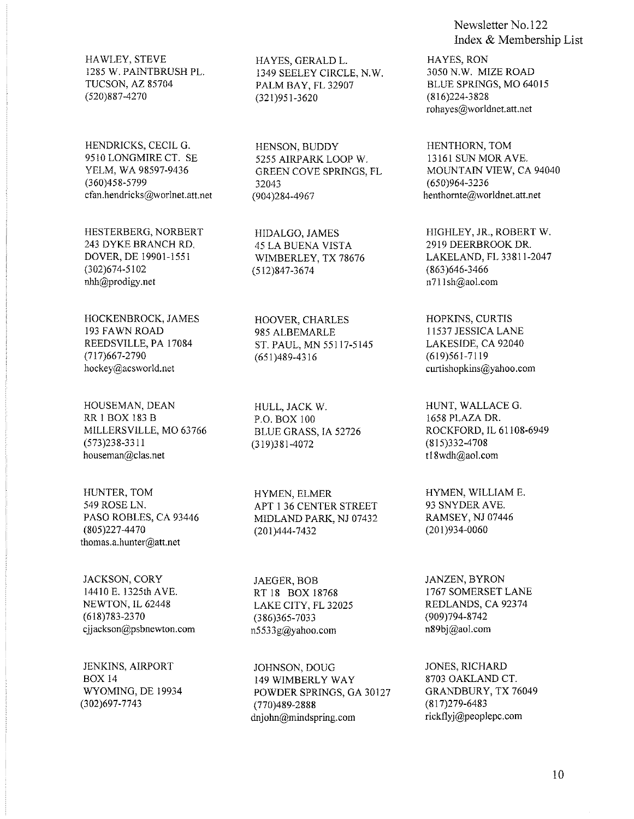HENDRICKS, CECIL G. HENSON, BUDDY HENTHORN, TOM

DOVER, DE 19901-1551 WIMBERLEY, TX 78676 LAKELAND, I<br>(302)674-5102 (512)847-3674 (863)646-3466 (302)674-5102 (512)847-3674<br>
hh@prodigy.net

HOCKENBROCK, JAMES HOOVER, CHARLES HOPKINS, CURTIS (717)667-2790 (651)489-4316<br>hockey@acsworld.net

HOUSEMAN, DEAN HULL, JACK W. HUNT, WALLACE G.<br>
RR 1 BOX 183 B PLO, BOX 100 1658 PLAZA DR. RR 1 BOX 183 B<br>
P.O. BOX 100 1658 PLAZA DR.<br>
HLIE GRASS. IA 52726 ROCKFORD, IL 6 MILLERSVILLE, MO 63766 BLUE GRASS, IA 52726 ROCKFORD, IL 61108-6949<br>
(573)238-3311 (319)381-4072 (815)332-4708 houseman@clas.net tI8wdh@aol.com ti8wdh@aol.com

thomas.a.hunter@att.net

JACKSON, CORY JAEGER, BOB JANZEN, BYRON<br>14410 E. 1325th AVE. RT 18 ROX 18768 1767 SOMERSET 14410 E. 1325th AVE. RT 18 BOX 18768 1767 SOMERSET LANE NEWTON, IL 62448 LAKE CITY, FL 32025 REDLANDS, CA 92374 cjjackson@psbnewton.com n5533g@yahoo.com

HAWLEY, STEVE HAYES, GERALD L. HAYES, RON<br>1285 W. PAINTBRUSH PL. 1349 SEELEY CIRCLE N W 3050 N.W. MIZE ROAD 1285 W. PAINTBRUSH PL. 1349 SEELEY CIRCLE, N.W.<br>TUCSON, AZ 85704 PALM BAY. FL 32907 TUCSON, AZ 85704 PALM BAY, FL 32907 BLUE SPRINGS, MO 64015<br>(520)887-4270 (321)951-3620 (816)224-3828 (321)951-3620

YELM, WA 98597-9436 GREEN COVE SPRINGS, FL<br>(360)458-5799 (30043) (360)458-5799 **32043** (650)964-3236 cfan.hendricks@worlnet.att.net (904)284-4967 henthomte@worldnet.att.net

193 FAWN ROAD 985 ALBEMARLE 11537 JESSICA LANE<br>REEDSVILLE, PA 17084 ST. PAUL. MN 55117-5145 LAKESIDE, CA 92040 REEDSVILLE, PA 17084 ST. PAUL, MN 55117-5145 LAKESIDE, C.<br>(717)667-2790 (651)489-4316 (619)561-7119

(319)381-4072

HUNTER, TOM HYMEN, ELMER HYMEN, WILLIAM E.<br>549 ROSE LN. APT 136 CENTER STREET 93 SNYDER AVE. 549 ROSE LN. APT 136CENTERSTREET 93 SNYDER AVE. MIDLAND PARK, NJ 07432 (805)227 -44 70 (201)444-7432 (201)934-0060

(386)365-7033 (909)794-8742<br>15533g@vahoo.com n89bj@aol.com

JENKINS, AIRPORT JOHNSON, DOUG JONES, RICHARD BOX 14 149 WIMBERLY WAY 8703 OAKLAND CT.<br>WYOMING, DE 19934 POWDER SPRINGS. GA 30127 GRANDBURY, TX 76049 WYOMING, DE 19934 POWDER SPRINGS, GA 30127 GRANDBURY, TX 76049 (770)489-2888 (817)279-6483<br>dniohn@mindspring.com rickflyj@peoplepc.com dnjohn@mindspring.com

Newsletter No.122 Index & Membership List

rohayes@worldnet.att.net

9510 LONGMIRE CT. SE 5255 AIRPARK LOOP W. 13161 SUN MORAVE.

HESTERBERG, NORBERT HIDALGO, JAMES HIGHLEY, JR., ROBERT W.<br>243 DYKE BRANCH RD. 45 LA BUENA VISTA 2919 DEERBROOK DR. 243 DYKE BRANCH RD. 45 LA BUENA VISTA 2919 DEERBROOK DR. n711sh@aol.com

curtishopkins@yahoo.com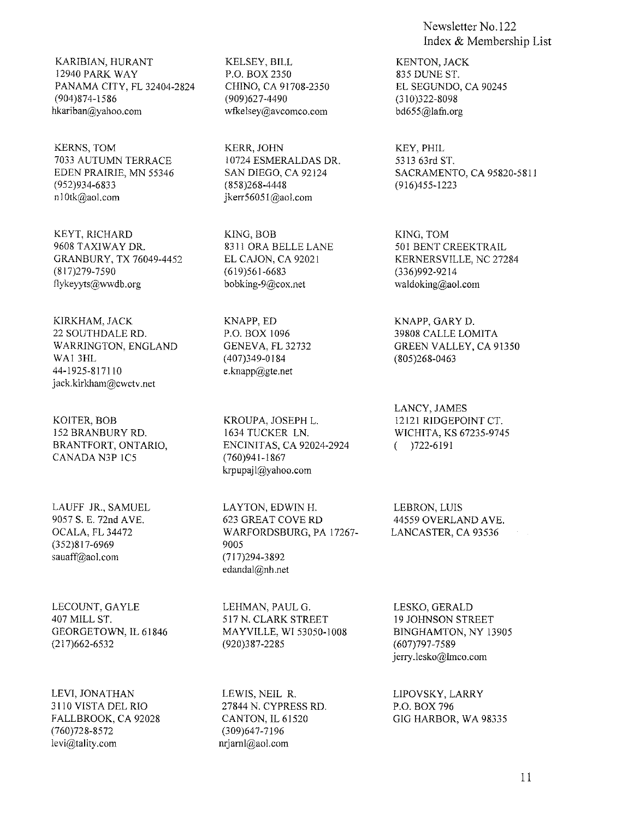KARIBIAN. HURANT 12940 PARK WAY PANAMA CITY, FL 32404-2824 (904)874-1586 hkariban@yahoo.com

KERNS, TOM 7033 AUTUMN TERRACE EDEN PRAIRIE, MN 55346 (952)934-6833 n 1 Otk@aol.com

KEYT, RICHARD 9608 TAXIWAY DR. GRANBURY, TX 76049-4452 (817)279-7590 flykeyyts@wwdb.org

KIRKHAM, JACK 22 SOUTHDALE RD. WARRINGTON, ENGLAND WA<sub>13HL</sub> 44-1925-817110 jack.kirkham@cwctv.net

KOlTER, BOB 152 BRANBURY RD. BRANTFORT, ONTARIO, CANADA N3P 1C5

LAUFF JR., SAMUEL 9057 S. E. 72nd AVE. OCALA, FL 34472 (352)817-6969 sauaff@aol.com

LECOUNT, GAYLE 407 MILL ST. GEORGETOWN, IL 61846 (217)662-6532

LEVI, JONATHAN 3110 VISTA DEL RIO FALLBROOK, CA 92028 (760)728-8572 1evi@tality.com

KELSEY, BILL P.O. BOX 2350 CHINO, CA 91708-2350 (909)627-4490 wfke1sey@avcomco.com

KERR,JOHN 10724 ESMERALDAS DR. SAN DIEGO, CA 92124 (858)268-4448 jkerr56051@aol.com

KING, BOB 8311 ORA BELLE LANE EL CAJON, CA 92021 (619)561-6683 bobking-9@cox.net

KNAPP, ED P.O. BOX 1096 GENEVA, FL 32732 (407)349-0184 e.knapp@gte.net

KROUPA, JOSEPH L. 1634 TUCKER LN. ENCINITAS, CA 92024-2924 (760)941-1867 krpupaj1@yahoo.com

LAYTON, EDWIN H. 623 GREAT COVE RD WARFORDSBURG, PA 17267- 9005 (717)294-3892 edandal@nh.net

LEHMAN, PAUL G. 517 N. CLARK STREET MAYVILLE, WI 53050-1008 (920)387-2285

LEWIS, NEIL R. 27844 N. CYPRESS RD. CANTON, IL 61520 (309)647-7196 nrjaml@aoLcom

KENTON, JACK 835 DUNE ST. EL SEGUNDO, CA 90245 (310)322-8098 bd655@lafn.org

KEY, PHIL 5313 63rd ST. SACRAMENTO, CA 95820-5811 (916)455-1223

KING, TOM 501 BENT CREEKTRAIL KERNERSVILLE, NC 27284 (336)992-9214 waldoking@aol.com

KNAPP, GARY D. 39808 CALLE LOMITA GREEN VALLEY, CA 91350 (805)268-0463

LANCY, JAMES 12121 RlDGEPOINT CT. WICHITA, KS 67235-9745  $($  )722-6191

LEBRON, LUIS 44559 OVERLAND AVE. LANCASTER, CA 93536

LESKO, GERALD 19 JOHNSON STREET BINGHAMTON, NY 13905 (607)797-7589 jerry.lesko@lmco.com

LIPOVSKY, LARRY P.O. BOX 796 GIG HARBOR, WA 98335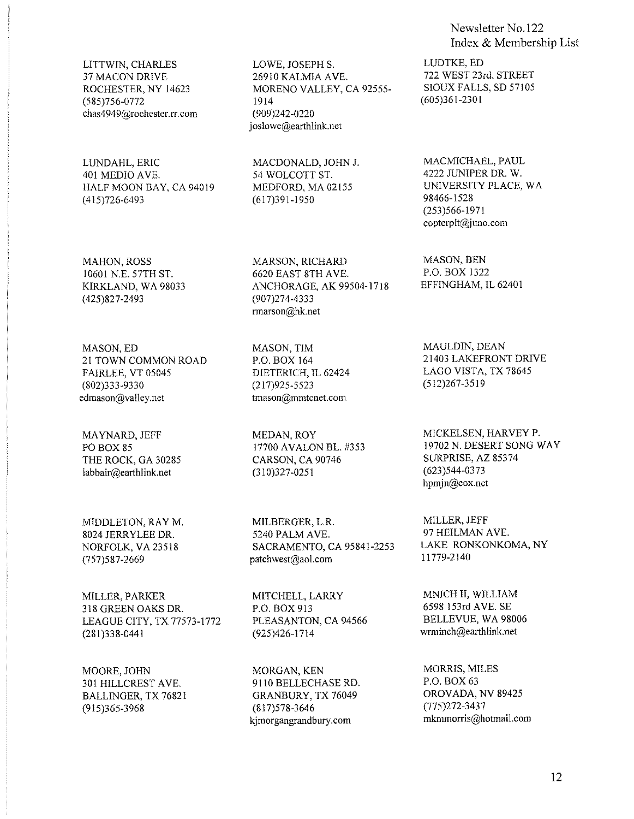LITTWIN. CHARLES 37 MACON DRIVE ROCHESTER, NY 14623 (585)756-0772 chas4949@rochester.rr.com

LUNDAHL, ERIC 401 MEDIOAVE. HALF MOON BAY, CA 94019 (415)726-6493

MACDONALD, JOHN J. 54 WOLCOTT ST. MEDFORD, MA 02155 (617)391-1950

> MARSON, RICHARD 6620 EAST 8TH AVE.

> LOWE, JOSEPH S. 26910 KALMIA AVE.

(909)242-0220 jos1owe@earthlink.net

1914

MORENO VALLEY, CA 92555-

MAHON, ROSS 10601 N.E. 57TH ST. KIRKLAND, WA 98033 (425)827-2493

MASON, ED 21 TOWN COMMON ROAD FAIRLEE, VT 05045 (802)333-9330 edmason@valley.net

MAYNARD, JEFF PO BOX 85 THE ROCK, GA 30285 labbair@earthlink.net

MIDDLETON, RAY M. 8024 JERRYLEE DR. NORFOLK, VA23518 (757)587-2669

MILLER, PARKER 318 GREEN OAKS DR. LEAGUE CITY, TX 77573-1772 (281)338-0441

MOORE, JOHN 301 HILLCREST AVE. BALLINGER, TX 76821 (915)365-3968

ANCHORAGE, AK 99504-1718 (907)274-4333 rmarson@hk.net

MASON, TIM P.O. BOX 164 DIETERICH, IL 62424 (2 I 7)925-5523 tmason@mmtcnet.com

MEDAN, ROY 17700 AVALON BL. #353 CARSON, CA 90746 (310)327-0251

MILBERGER, L.R. 5240 PALM AVE. SACRAMENTO, CA 95841-2253 patchwest@aol.com

MITCHELL, LARRY P.O. BOX 913 PLEASANTON, CA 94566 (925)426-1714

MORGAN, KEN 9110 BELLECHASE RD. GRANBURY, TX 76049 (817)578-3646 kjmorgangrandbury.com

LUDTKE, ED 722 WEST 23rd. STREET SIOUX FALLS, SD 57105 (605)361-2301

MACMICHAEL, PAUL 4222 JUNIPER DR. W. UNIVERSITY PLACE, WA 98466-1528 (253 )566-1971 copterplt@juno.com

MASON, BEN P.O. BOX 1322 EFFINGHAM, IL 62401

MAULDIN, DEAN 21403 LAKEFRONT DRIVE LAGO VISTA, TX 78645 (512)267-3519

MICKELSEN, HARVEY P. 19702 N. DESERT SONG WAY SURPRISE, AZ 85374 (623)544-0373 hpmjn@cox.net

MILLER, JEFF 97 HEILMAN AVE. LAKE RONKONKOMA, NY 11779-2140

MNICH II, WILLIAM 6598 153rd AVE. SE BELLEVUE, WA 98006 wrminch@earthlink.net

MORRIS, MILES P.O. BOX 63 OROVADA, NV 89425 (775)272-3437 mkmmorris@hotmail.com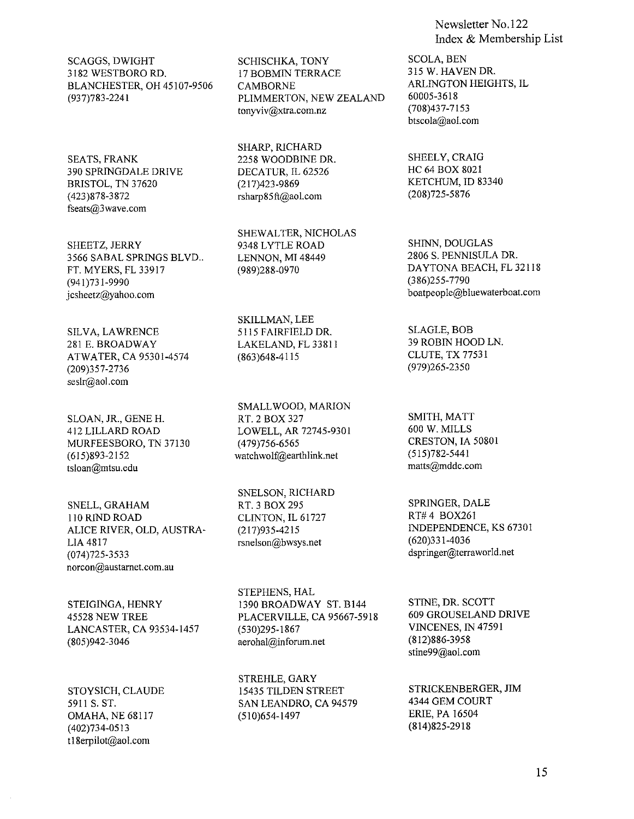SCAGGS. DWIGHT 3182 WESTBORO RD. BLANCHESTER, OH 45107-9506 (937)783-2241

SCHISCHKA, TONY 17 BOBMIN TERRACE CAMBORNE PLIMMERTON, NEW ZEALAND tonyviv@xtra.com.nz

SEATS, FRANK 390 SPRINGDALE DRIVE BRISTOL, TN 37620 (423)878-3872 fseats@3wave.com

SHEETZ, JERRY 3566 SABAL SPRINGS BLVD.. FT. MYERS, FL 33917 (941 )731-9990 jcsheetz@yahoo.com

SILVA, LAWRENCE 281 E. BROADWAY ATWATER, CA 95301-4574 (209)357-2736 seslr@aol.com

SLOAN, JR., GENE H. 412 LILLARD ROAD MURFEESBORO, TN 37130 (615)893-2152 tsloan@mtsu.edu

SNELL, GRAHAM 110 RIND ROAD ALICE RIVER, OLD, AUSTRA-LIA 4817 (074)725-3533 **norcon@austarnet.com.au** 

STEIGINGA, HENRY 45528 NEW TREE LANCASTER, CA 93534-1457 (805)942-3046

STOYSICH, CLAUDE 5911 S. ST. OMAHA, NE 68117 (402)734-0513 t18erpilot@aol.com

SHARP, RICHARD 2258 WOODBINE DR. DECATUR, IL 62526 (217)423-9869 rsharp85ft@aol.com

SHEWALTER, NICHOLAS 9348 LYTLE ROAD LENNON, MI 48449 (989)288-0970

SKILLMAN, LEE 5115 FAIRFIELD DR. LAKELAND, FL 33811 (863)648-4115

SMALLWOOD, MARION RT. 2 BOX 327 LOWELL, AR 72745-9301 (479)756-6565 watchwolf@earthlink.net

SNELSON, RICHARD RT.3 BOX 295 CLINTON, IL 61727 (217)935-4215 rsnelson@bwsys.net

STEPHENS, HAL 1390 BROADWAY ST. B144 PLACERVILLE, CA 95667-5918 (530)295-1867 aerohal@inforum.net

STREHLE, GARY 15435 TILDEN STREET SAN LEANDRO, CA 94579 (510)654-1497

SCOLA, BEN 315 W. HAVEN DR. ARLINGTON HEIGHTS, IL 60005-3618 (708)437-7153 btscola@aol.com

SHEELY, CRAIG HC 64 BOX 8021 KETCHUM, ID 83340 (208)725-5876

SHINN, DOUGLAS 2806 S. PENNISULA DR. DAYTONA BEACH, FL 32118 (386)255-7790 boatpeople@bluewaterboat.com

SLAGLE, BOB 39 ROBIN HOOD LN. CLUTE, TX 77531 (979)265-2350

SMITH, MATT 600 W.MILLS CRESTON, IA 50801 (515)782-5441 matts@mddc.com

SPRINGER, DALE RT# 4 B0X261 INDEPENDENCE, KS 67301 (620)331-4036 dspringer@terraworld.net

STINE, DR. SCOTT 609 GROUSELAND DRIVE VINCENES, IN 47591 (812)886-3958 stine99@aol.com

STRICKENBERGER, JIM 4344 GEM COURT ERIE, PA 16504 (814)825-2918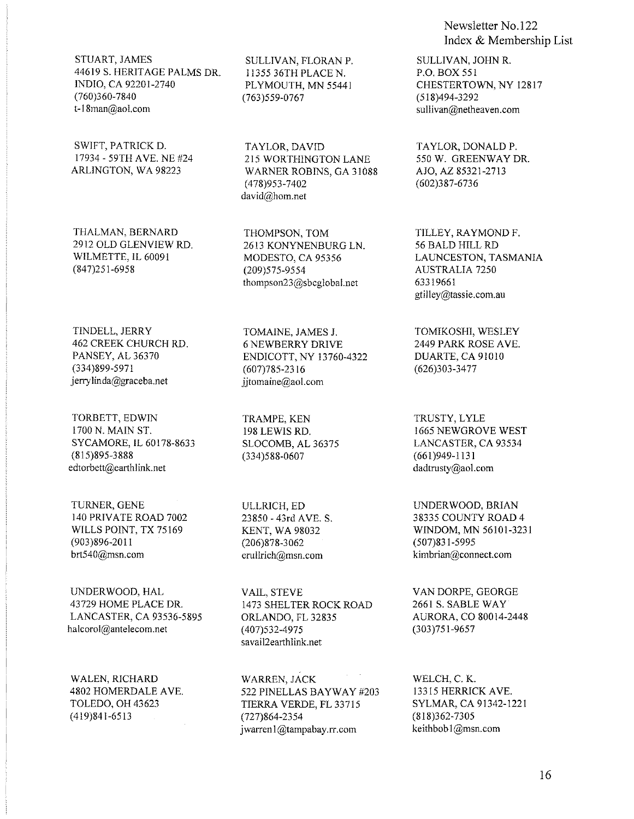STUART. JAMES 44619 S. HERITAGE PALMS DR. INDIO, CA 92201-2740 (760)360-7840 t-18man@aol.com

SWIFT, PATRICK D. 17934 - 59TH AVE. NE #24 ARLINGTON, WA 98223

THALMAN, BERNARD 2912 OLD GLENVIEW RD. WILMETTE, IL 60091 (847)251-6958

SULLIVAN, FLORAN P. 11355 36TH PLACE N. PLYMOUTH, MN 55441 (763)559-0767

TAYLOR, DAVID 215 WORTHINGTON LANE WARNER ROBINS, GA 31088 (478)953-7402 david@hom.net

THOMPSON, TOM 2613 KONYNENBURG LN. MODESTO, CA 95356 (209)575-9554 thompson23@sbcglobal.net

TINDELL, JERRY 462 CREEK CHURCH RD. PANSEY, AL 36370 (334)899-5971 jerry linda@graceba.net

TORBETT, EDWIN 1700 N. MAIN ST. SYCAMORE, IL 60178-8633 (815)895-3888 edtorbett@earthlink.net

TURNER, GENE 140 PRIVATE ROAD 7002 WILLS POINT, TX 75169 (903)896-2011 brt540@msn.com

UNDERWOOD, HAL 43729 HOME PLACE DR. LANCASTER, CA 93536-5895 halcorol@antelecom.net

WALEN, RICHARD 4802 HOMERDALE AVE. TOLEDO, OH 43623 (419)841-6513

TOMAINE, JAMES J. 6 NEWBERRY DRJVE ENDICOTT, NY 13760-4322 (607)785-2316 jitomaine@aol.com

TRAMPE, KEN 198 LEWIS RD. SLOCOMB, AL 36375 (334)588-0607

ULLRICH,ED 23850 - 43rd AVE. S. KENT, WA 98032 (206)878-3062 erullrich@msn.com

VAIL, STEVE 1473 SHELTER ROCK ROAD ORLANDO, FL 32835 (407)532-4975 savail2earthlink.net

WARREN, JACK 522 PINELLAS BAYWAY #203 TIERRA VERDE, FL 33715 (727)864-2354 jwarren l@tampabay.rr.com

SULLIVAN, JOHN R. P.O. BOX551 CHESTERTOWN, NY 12817 (518)494-3292 sullivan@netheaven.com

TAYLOR, DONALD P. 550 W. GREENWAY DR. AJO, AZ 85321-2713 (602)387-6736

TILLEY, RAYMOND F. 56 BALD HILL RD LAUNCESTON, TASMANIA AUSTRALIA 7250 63319661 gtilley@tassie.com.au

TOMIKOSHI, WESLEY 2449 PARK ROSE AVE. DUARTE, CA 91010 (626)303-3477

TRUSTY, LYLE 1665 NEWGROVE WEST LANCASTER, CA 93534 (661)949-1131 dadtrusty@aol.com

UNDERWOOD, BRJAN 38335 COUNTY ROAD 4 WINDOM, MN 56101-3231 (507)831-5995 kimbrian@connect.com

VAN DORPE, GEORGE 2661 S. SABLE WAY AURORA, CO 80014-2448 (303)751-9657

WELCH, C.K. 13315 HERRJCK AVE. SYLMAR, CA 91342-1221 (818)362-7305 keithbob l@msn.com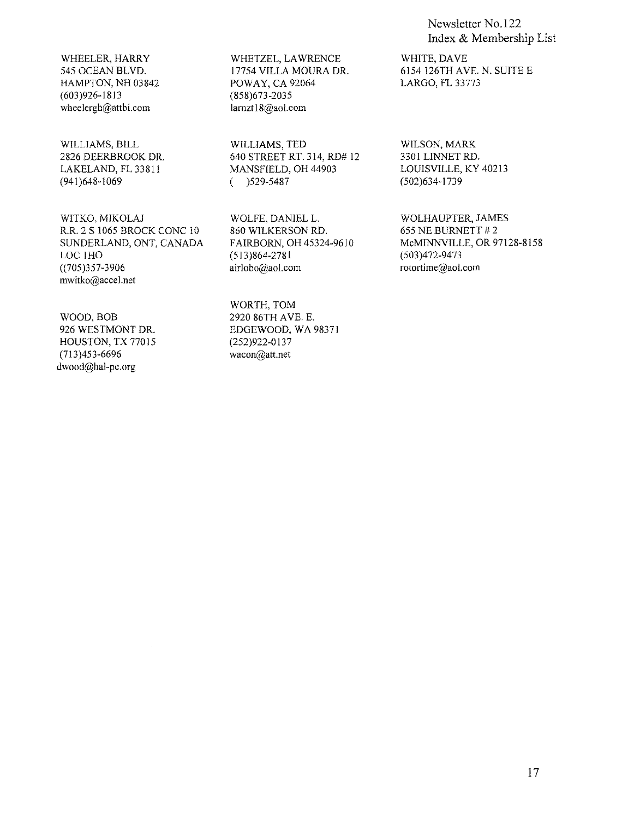WHEELER. HARRY 545 OCEAN BLVD. HAMPTON, NH 03842 (603)926-1813 wheelergh@attbi.com

WILLIAMS, BILL 2826 DEERBROOK DR. LAKELAND, FL 33811 (941 )648- 1069

WITKO, MIKOLAJ R.R. 2 S 1065 BROCK CONC 10 SUNDERLAND, ONT, CANADA LOC lHO *«705)357-3906*  mwitko@accel.net

WOOD, BOB 926 WESTMONT DR. HOUSTON, TX *77015*  (713)453-6696 dwood@hal-pc.org

WHETZEL, LAWRENCE 17754 VILLA MOURA DR. POWAY, CA *92064*  (858)673-2035 lamztl8@aol.com

WILLIAMS, TED 640 STREET *RT.* 314, RD# 12 MANSFIELD, OH 44903  $( )529 - 5487$ 

WOLFE, DANIEL L. 860 WILKERSON RD. FAIRBORN, OH 45324-9610 (513)864-2781 airlobo@aol.com

WORTH, TOM 2920 86TH AVE. E. EDGEWOOD, WA 98371 (252)922-0137 wacon@att.net

WHITE, DAVE 6154 126TH AVE. N. SUITE E LARGO, FL 33773

WILSON, MARK 3301 LINNET RD. LOUISVILLE, KY 40213 (502)634-1739

WOLHAUPTER, JAMES 655 NE BURNETT # 2 McMINNVILLE, OR 97128-8158 (503)472-9473 rotortime@aol.com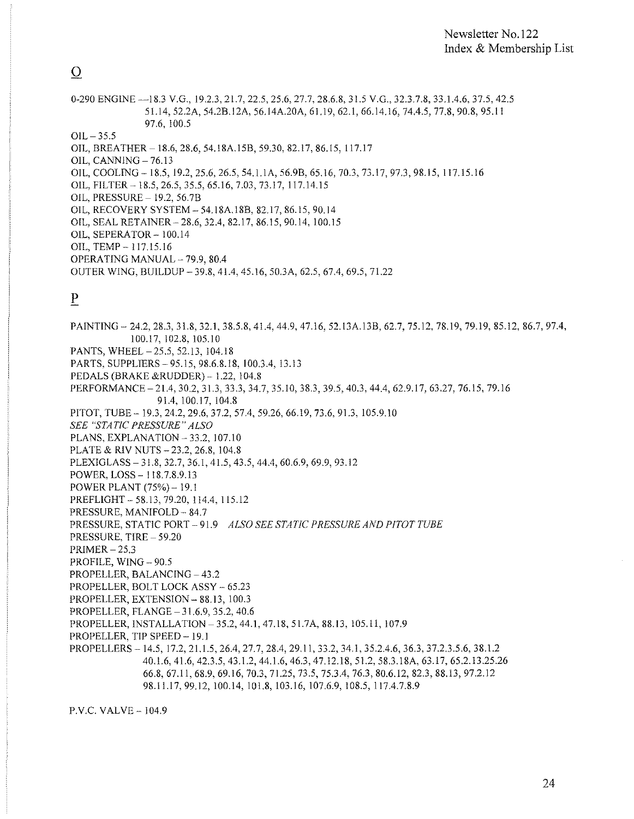#### **o**

0-290 ENGINE -18.3 V.G., 19.2.3, 21.7, 22.5, 25.6, 27.7, 28.6.8, 31.5 V.G., 32.3.7.8, 33.1.4.6, 37.5, 42.5 51.14, 52.2A, 54.2B.12A, 56.14A.20A, 61.19, 62.1, 66.14.16, 74.4.5, 77.8, 90.8, 95.11 97.6, 100.5  $OIL-35.5$ OIL, BREATHER - 18.6, 28.6, 54.18A.15B, 59.30, 82.17, 86.15, 117.17 OIL, CANNING-76.13 OIL, COOLING - 18.5, 19.2, 25.6, 26.5, 54.1.1A, 56.9B, 65.16, 70.3, 73.17, 97.3, 98.15, 117.15.16 OIL, FILTER-18.5, 26.5, 35.5, 65.16, 7.03, 73.17,117.14.15 OIL, PRESSURE - 19.2, 56.7B OIL, RECOVERY SYSTEM - 54.18A.18B, 82.17, 86.15, 90.14 OIL, SEAL RETAINER- 28.6,32.4,82.17,86.15,90.14, 100.15 OIL, SEPERATOR-I00.14 OIL, TEMP-117.15.16 OPERATING MANUAL - 79.9, 80.4 OUTER WING, BUILDUP - 39.8,41.4,45.16, 50.3A, 62.5, 67.4, 69.5, 71.22

#### ${\bf P}$

PAINTING - 24.2, 28.3, 31.8, 32.1. 38.5.8, 41.4, 44.9, 47.16, 52.13A.13B, 62.7, 75.12, 78.19, 79.19, 85.12, 86.7,97.4, 100.17,102.8,105.10 PANTS, WHEEL-25.5, 52.13, 104.18 PARTS, SUPPLIERS-95.15, 98.6.8.18,100.3.4,13.13 PEDALS (BRAKE &RUDDER) - 1.22, 104.8 PERFORMANCE-21.4, 30.2, 31.3, 33.3, 34.7, 35.10, 38.3, 39.5, 40.3, 44.4, 62.9.17, 63.27, 76.15, 79.16 91.4,100.17,104.8 PITOT, TUBE - 19.3, 24.2, 29.6, 37.2, 57.4, 59.26, 66.19, 73.6, 91.3, 105.9.10 *SEE "STATIC PRESSURE" ALSO*  PLANS, EXPLANATION - 33.2, 107.10 PLATE & RIV NUTS - 23.2, 26.8, 104.8 PLEXIGLASS - 31.8, 32.7, 36.1, 41.5, 43.5, 44.4, 60.6.9, 69.9, 93.12 POWER, LOSS-118.7.8.9.13 POWER PLANT (75%)-19.1 PREFLIGHT - 58.13, 79.20, 114.4, 115.12 PRESSURE, MANIFOLD - 84.7 PRESSURE, STATIC PORT - 91.9 *ALSO SEE STATIC PRESSURE AND PITOT TUBE*  PRESSURE, TIRE - 59.20  $PKIMER - 25.3$ PROFILE, WING - 90.5 PROPELLER, BALANCING - 43.2 PROPELLER, BOLT LOCK ASSY - 65.23 PROPELLER, EXTENSION - 88.13, 100.3 PROPELLER, FLANGE - 31 .6.9, 35.2, 40.6 PROPELLER, INSTALLATION - 35.2, 44.1, 47.18, 51.7A, 88.13, 105.11, 107.9 PROPELLER, TIP SPEED - 19.1 PROPELLERS - 14.5, 17.2, 21.1.5,26.4,27.7,28.4,29. 11,33.2,34.1,35.2.4.6,36.3,37.2.3.5.6, 38.1.2 40.1.6,41.6,42.3.5,43.1.2,44.1.6,46.3,47.12.18, 51.2, 58.3. 18A, 63.17,65.2.13.25.26 66.8,67.11,68.9,69.16,70.3,71.25,73.5,75.3.4, 76.3, 80.6.12, 82.3, 88.13,97.2.12 98.11.17,99.12,100.14,101.8,103.16,107.6.9, 108.5, 117.4.7.8.9

P.V.C. VALVE-I04.9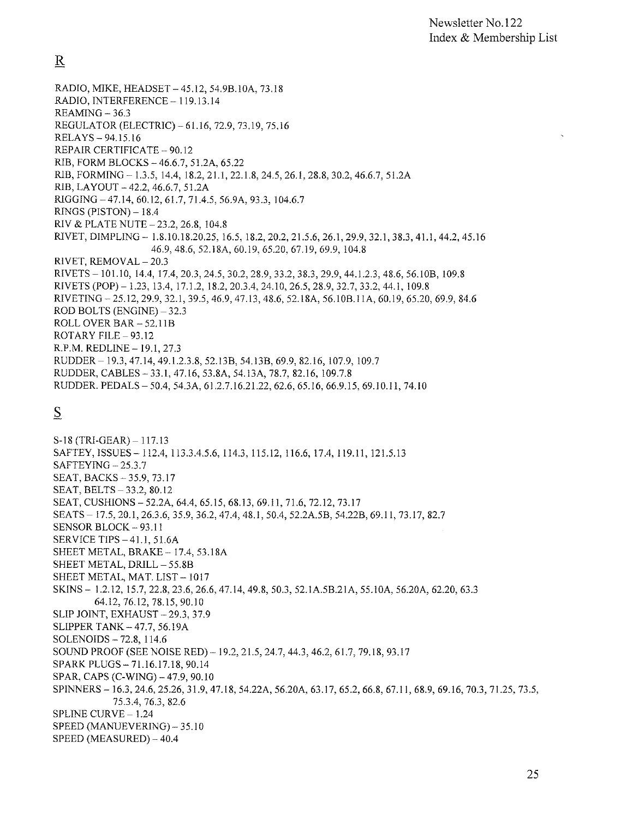R

RADIO, MIKE, HEADSET - 45.12, 54.9B.lOA, 73.18 RADIO, INTERFERENCE-119.13.14  $REAMING - 36.3$ REGULATOR (ELECTRIC) - 61.16, 72.9, 73.19, 75.16 RELAYS - 94.15.16 REPAIR CERTIFICATE - 90.12 RIB, FORM BLOCKS - 46.6.7, 51.2A, 65.22 RIB, FORMING -1.3.5,14.4,18.2,21.1,22.1.8,24.5,26.1,28.8,30.2,46.6.7, 51.2A RIB, LAYOUT -42.2, 46.6.7, 51.2A RIGGING -47.14,60.12,61.7,71.4.5, 56.9A, 93.3,104.6.7 RINGS (PISTON)  $-18.4$ RIV & PLATE NUTE - 23.2,26.8, *104.8*  RIVET, DIMPLING - 1.8.10.18.20.25,16.5,18.2,20.2,21.5.6,26.1,29.9,32.1, 38.3, 41.1, 44.2, 45.16 46.9,48.6, 52.18A, 60.19, 65.20, 67.19, 69.9,104.8 RIVET, REMOVAL - 20.3 RIVETS -101.10,14.4,17.4,20.3,24.5,30.2,28.9,33.2,38.3,29.9, 44.1.2.3, 48.6, 56. lOB, 109.8 RIVETS (POP) - 1.23, 13.4, 17.1.2, 18.2,20.3.4,24.10,26.5,28.9,32.7, 33.2,44.1, 109.8 RIVETING-25.12, 29.9,32.1,39.5,46.9,47.13,48.6, 52.18A, 56. lOB.I lA, 60.19, 65.20, 69.9, 84.6 ROD BOLTS (ENGINE) - 32.3 ROLL OVER  $BAR - 52.11B$ ROTARY FILE - 93.12 R.P.M. REDLINE-19.1, 27.3 RUDDER- 19.3,47.14,49.1.2.3.8, 52.13B, 54.13B, 69.9, 82.16,107.9,109.7 RUDDER, CABLES-33.1, 47.16, 53.8A, 54.13A, 78.7, 82.16,109.7.8 RUDDER. PEDALS - 50.4, 54.3A, 61.2.7.16.21.22, 62.6, 65.16, 66.9.15, 69.10.11,74.10

#### ${\bf S}$

S-18 (TRI-GEAR)- 117.13 SAFTEY, ISSUES - 112.4, 113.3.4.5.6, 114.3, 115.12, 116.6, 17.4, 119.11, 121.5.13  $SAFTEYING - 25.3.7$ SEAT, BACKS-35.9, 73.17 SEAT, BELTS - 33.2, 80.12 SEAT, CUSHIONS - 52.2A, 64.4, 65.15, 68.13, 69.11, 71.6, 72.12, 73.17 SEATS - 17.5,20.1,26.3.6, 35.9, 36.2, 47.4, 48.1,50.4, 52.2A.5B, 54.22B, 69.11, 73.17, 82.7 SENSOR BLOCK - 93.11 SERVICE TIPS - 41.1, 51.6A SHEET METAL, BRAKE - 17.4, 53.18A SHEET METAL, DRILL - 55.8B SHEET METAL, MAT. LIST - 1017 SKINS - 1.2.12, 15.7,22.8,23.6,26.6,47.14,49.8,50.3, 52.1A.5B.21A, 55. lOA, 56.20A, *62.20, 63.3*  64.12,76.12,78.15,90.10 SLIP JOINT, EXHAUST - 29.3, 37.9 SLIPPER TANK-47.7, 56.19A SOLENOIDS - 72.8, 114.6 SOUND PROOF (SEE NOISE RED) - 19.2,21.5,24.7,44.3,46.2, 61.7, 79.18, 93.17 SPARK PLUGS *-71.16.17.18,90.14*  SPAR, CAPS (C-WING)-47.9, *90.10*  SPINNERS - 16.3,24.6,25.26,31.9,47.18, 54.22A, 56.20A, 63.17, 65.2, 66.8, 67.11, 68.9, 69.16, 70.3, 71.25, 73.5, 75.3.4,76.3, 82.6 SPLINE CURVE - 1.24 SPEED (MANUEVERING) - 35.10 SPEED (MEASURED) - 40.4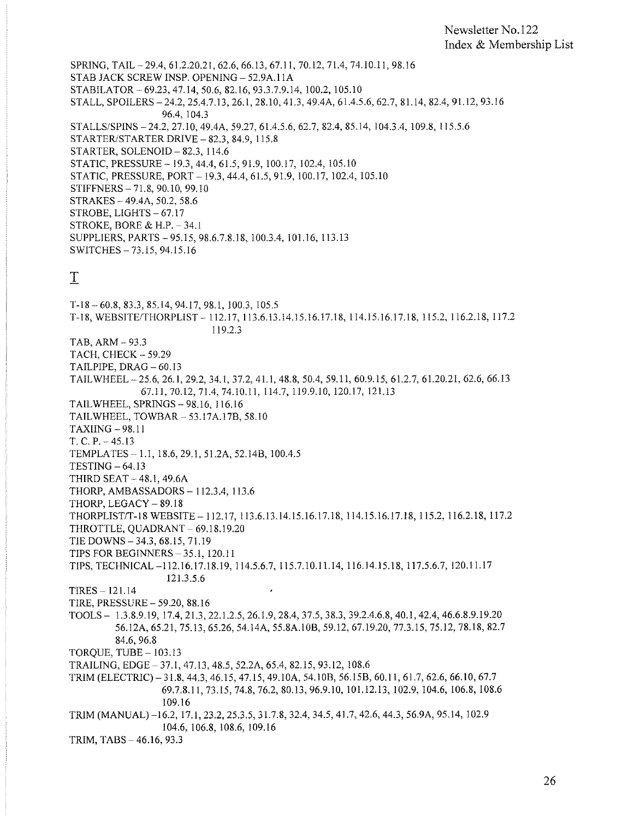SPRING, TAIL - 29.4, 61.2.20.21, 62.6, 66.13, 67.11,70.12,71.4, 74.10.11,98.16 STAB JACK SCREW INSP. OPENING- 52.9A.IIA STABILATOR-69.23, 47.14, 50.6, 82.16, 93.3.7.9.14,100.2,105.10 STALL, SPOILERS - 24.2,25.4.7.13,26.1,28.10,41.3, 49.4A, 61.4.5.6, 62.7, 81.14, 82.4, 91.12, 93.16 96.4, 104.3 STALLS/SPINS - 24.2,27.10, 49.4A, 59.27, 61.4.5.6, 62.7, 82.4, 85.14, 104.3.4, 109.8, 115.5.6 STARTER/STARTER DRIVE - 82.3, 84.9, 115.8 STARTER, SOLENOID-82.3, 114.6 STATIC, PRESSURE-19.3, 44.4, 61.5, 91.9,100.17,102.4,105.10 STATIC, PRESSURE, PORT -19.3, 44.4,61.5,91.9,100.17,102.4,105.10 STIFFNERS-71.8, 90.10, 99.10 STRAKES -49.4A, 50.2, 58.6 STROBE, LIGHTS - 67.17 STROKE, BORE  $& H.P. - 34.1$ SUPPLIERS, PARTS - 95.15,98.6.7.8.18,100.3.4,101.16,113.13 SWITCHES - 73.15, 94.15.16

#### T

T-18-60.8, 83.3, 85.14, 94.17, 98.1,100.3,105.5 T-18, WEBSITE/THORPLIST - 112.17, 113.6.13.14.15.16.17.18, 114.15.16.17.18, 115.2, 116.2.18, 117.2 119.2.3 TAB, ARM - 93.3 TACH, CHECK - 59.29 TAILPIPE, DRAG - 60.13 TAIL WHEEL - 25.6, 26.1, 29.2, 34.1, 37.2, 41.1, 48.8, 50.4, 59.11, 60.9.15, 61.2.7, 61.20.21, 62.6, 66.13 67.11,70.12,71.4,74.10.11,114.7,119.9.10,120.17,121.13 TAILWHEEL, SPRlNGS-98.16, 116.16 TAIL WHEEL, TOWBAR- 53.17A.17B, 58.10 TAXIING - 98.11 T. C. P. -45.13 TEMPLATES-I.I, 18.6,29.1, 51.2A, 52.14B, 100.4.5  $TESTING - 64.13$ THIRD SEAT -48.1, 49.6A THORP, AMBASSADORS - 112.3.4, 113.6 THORP, LEGACY - 89.18 THORPLIST/T-18 WEBSITE - 112.17, 113.6.13.14.15.16.17.18, 114.15.16.17.18, 115.2, 116.2.18, 117.2 THROTTLE, QUADRANT - 69.18.19.20 TIE DOWNS-34.3, 68.15, 71.19 TIPS FOR BEGINNERS  $-35.1$ , 120.11 TIPS, TECHNICAL -112.16.17.18.19, 114.5.6.7, 115.7.10.11.14, 116.14.15.18, 117.5.6.7, 120.11.17 121.3.5.6 TIRES - 121.14 TIRE, PRESSURE - 59.20,88.16 TOOLS - 1.3.8.9.19, 17.4,21.3,22.1.2.5,26.1.9,28.4, 37.5, 38.3, 39.2.4.6.8, 40.1, 42.4, 46.6.8.9.19.20 56.12A, 65.21, 75.13, 65.26, 54.14A, 55.8A.IOB, 59.12, 67.19.20, 77.3.15, 75.12, 78.18, 82.7 84.6,96.8 TORQUE, TUBE-103.13 TRAILING, EDGE-37.1, 47.13, 48.5, 52.2A, 65.4, 82.15, 93.12,108.6 TRIM (ELECTRIC) - 31.8,44.3,46.15,47.15, 49.IOA, 54. lOB, 56.15B, 60.11, 61.7, 62.6, 66.10,67.7 69.7.8.11,73.15,74.8,76.2,80.13,96.9.10,101.12.13, 102.9,104.6,106.8,108.6 109.16 TRIM (MANUAL) -16.2,17.1,23.2,25.3.5,31.7.8,32.4,34.5,41.7,42.6, 44.3, 56.9A, 95.14,102.9 104.6,106.8,108.6,109.16

TRIM, TABS-46.16, 93.3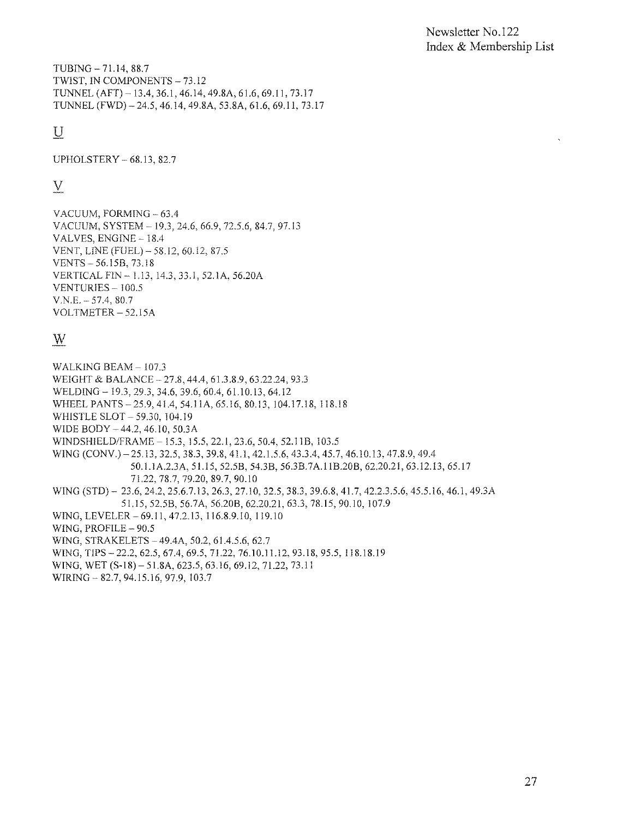$TUBING - 71.14, 88.7$ TWIST, IN COMPONENTS - 73.12 TUNNEL (AFT) - 13.4, 36,1,46,14, 49,8A, 61.6, 69.1 1,73,17 TUNNEL (FWD) - 24.5, 46,14, 49,8A, 53,8A, 61.6, 69,11, 73,17

 $\mathbf U$ 

UPHOLSTERY - 68,13,82,7

#### $\mathbf V$

VACUUM, FORMING - 63.4 VACUUM, SYSTEM - 19.3, 24,6, 66,9, 72.5,6, 84,7, 97,13 VALVES, ENGINE - 18.4 VENT, LINE (FUEL) - 58,12, 60,12, 87.5 VENTS-56,ISB,73,18 VERTICAL FIN - 1.13, 14.3,33,1,52, lA, 56,20A VENTURIES - 100.5  $V.N.E. - 57.4, 80.7$ VOLTMETER-52,15A

#### W

WALKING BEAM - 107.3 WEIGHT & BALANCE - 27.8, 44.4, 61.3.8.9, 63.22.24, 93.3 WELDING -19.3, 29.3, 34.6, 39.6, 60.4, 61.10.13, 64.12 WHEEL PANTS - 25,9, 41.4, 54, I1A, 65,16, 80,13, 104,17,18, 118,18 WHISTLE SLOT - 59.30, 104.19 WIDE BODY - 44.2, 46.10, 50.3A WINDSHIELD/FRAME - 15.3, 15,5,22,1,23,6,50.4, 52,IIB, 103.5 WING (CONV.) - 25, 13, 32, 5, 38, 3, 39, 8, 41, 1, 42, 1, 5, 6, 43, 3.4, 45, 7, 46, 10, 13, 47, 8, 9, 49, 4 50,1,1 A,2.3A, 51,15, 52,5B, 54.3B, 56.38. 7 A, IIB.20B, 62.20,2 1,63,12,13, 65,17 71.22,78,7,79,20,89,7,90,10 WING (STD) - 23,6,24.2,25,6,7,13,26.3,27,10, 32,5, 38.3, 39,6,8, 41.7, 42,2,3,5,6, 45,5,16,46, 1, 49,3A 51.15, 52,5B, 56,7A, 56.20B, 62,20,21, 63.3, 78,15, 90,10,107.9 WING, LEVELER - 69.11, 47.2.13, 116.8.9.10, 119.10 WING, PROFILE - 90.5 WING, STRAKELETS -49.4A, 50.2, 61.4.5.6, 62.7 WING, TIPS - 22.2, 62.5, 67.4, 69.5, 71.22, 76.10.11.12, 93.18, 95.5, 118.18.19 WING, WET (S-18) - 51.8A, 623.5, 63.16, 69.12, 71.22, 73.11

WIRING - 82.7, 94.15.16, 97.9, 103.7